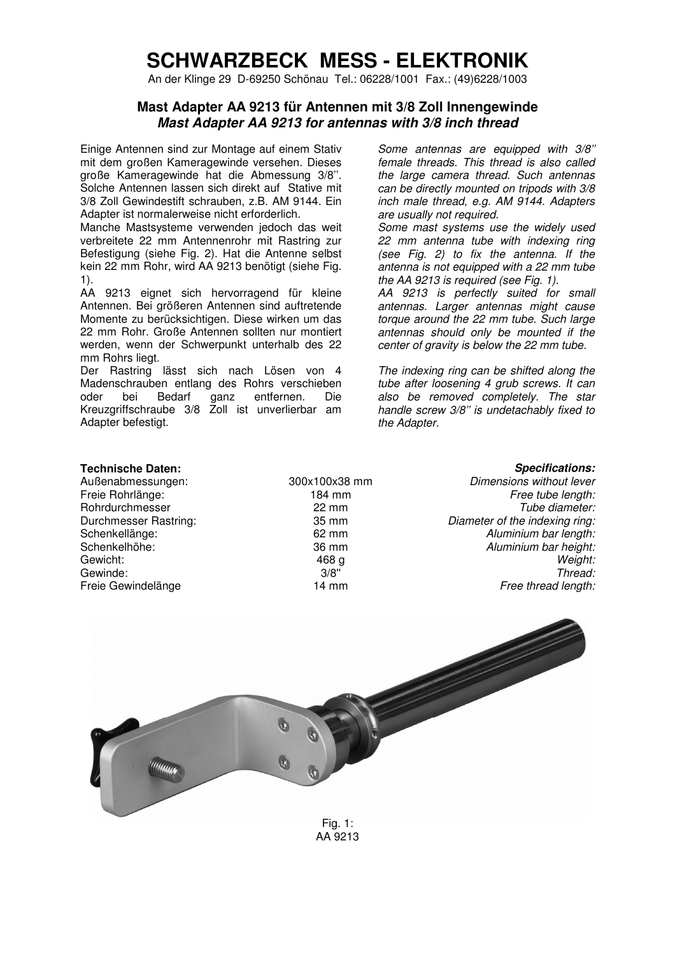## **SCHWARZBECK MESS - ELEKTRONIK**

An der Klinge 29 D-69250 Schönau Tel.: 06228/1001 Fax.: (49)6228/1003

## **Mast Adapter AA 9213 für Antennen mit 3/8 Zoll Innengewinde Mast Adapter AA 9213 for antennas with 3/8 inch thread**

Einige Antennen sind zur Montage auf einem Stativ mit dem großen Kameragewinde versehen. Dieses große Kameragewinde hat die Abmessung 3/8''. Solche Antennen lassen sich direkt auf Stative mit 3/8 Zoll Gewindestift schrauben, z.B. AM 9144. Ein Adapter ist normalerweise nicht erforderlich.

Manche Mastsysteme verwenden jedoch das weit verbreitete 22 mm Antennenrohr mit Rastring zur Befestigung (siehe Fig. 2). Hat die Antenne selbst kein 22 mm Rohr, wird AA 9213 benötigt (siehe Fig. 1).

AA 9213 eignet sich hervorragend für kleine Antennen. Bei größeren Antennen sind auftretende Momente zu berücksichtigen. Diese wirken um das 22 mm Rohr. Große Antennen sollten nur montiert werden, wenn der Schwerpunkt unterhalb des 22 mm Rohrs liegt.

Der Rastring lässt sich nach Lösen von 4 Madenschrauben entlang des Rohrs verschieben oder bei Bedarf ganz entfernen. Die Kreuzgriffschraube 3/8 Zoll ist unverlierbar am Adapter befestigt.

Some antennas are equipped with  $3/8$ " female threads. This thread is also called the large camera thread. Such antennas can be directly mounted on tripods with 3/8 inch male thread, e.g. AM 9144. Adapters are usually not required.

Some mast systems use the widely used 22 mm antenna tube with indexing ring (see Fig. 2) to fix the antenna. If the antenna is not equipped with a 22 mm tube the AA 9213 is required (see Fig. 1).

AA 9213 is perfectly suited for small antennas. Larger antennas might cause torque around the 22 mm tube. Such large antennas should only be mounted if the center of gravity is below the 22 mm tube.

The indexing ring can be shifted along the tube after loosening 4 grub screws. It can also be removed completely. The star handle screw 3/8'' is undetachably fixed to the Adapter.

Rohrdurchmesser<br>Durchmesser Rastring:

**Technische Daten:** *Specifications:* **<b>Specifications: Außenabmessungen: 300x100x38 mm** *Dimensions without lever* 

Außenabmessungen: 300x100x38 mm Dimensions without lever<br>Freie Rohrlänge: 184 mm 184 mm Free tube length: Free tube length:<br>184 mm Free tube length:<br>22 mm Fube diameter: Durchmesser Rastring:  $\begin{array}{ccc}\n 35 \text{ mm} & \text{Diameter of the indexing ring:} \\
82 \text{ mm} & \text{Diameter of the indexing ring:} \\
\end{array}$ Aluminium bar length: Schenkelhöhe: 36 mm 36 mm Aluminium bar height: Gewicht: 468 g *Weight:* Gewinde: 3/8'' Thread: Freie Gewindelänge and the state of the 14 mm and the state of the Free thread length: